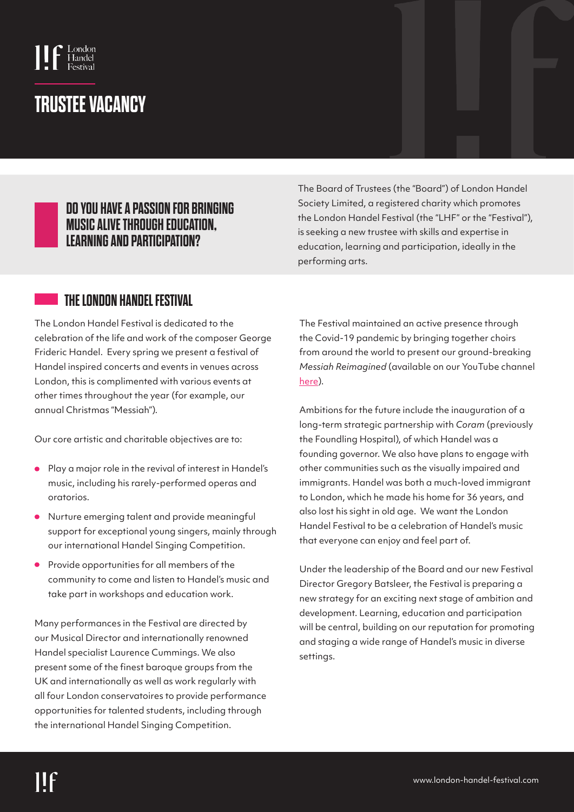

# **TRUSTEE VACANCY**

#### **DO YOU HAVE A PASSION FOR BRINGING MUSIC ALIVE THROUGH EDUCATION, LEARNING AND PARTICIPATION?**

The Board of Trustees (the "Board") of London Handel Society Limited, a registered charity which promotes the London Handel Festival (the "LHF" or the "Festival"), is seeking a new trustee with skills and expertise in education, learning and participation, ideally in the performing arts.

### **THE LONDON HANDEL FESTIVAL**

The London Handel Festival is dedicated to the celebration of the life and work of the composer George Frideric Handel. Every spring we present a festival of Handel inspired concerts and events in venues across London, this is complimented with various events at other times throughout the year (for example, our annual Christmas "Messiah").

Our core artistic and charitable objectives are to:

- Play a major role in the revival of interest in Handel's music, including his rarely-performed operas and oratorios.
- Nurture emerging talent and provide meaningful support for exceptional young singers, mainly through our international Handel Singing Competition.
- Provide opportunities for all members of the  $\bullet$ community to come and listen to Handel's music and take part in workshops and education work.

Many performances in the Festival are directed by our Musical Director and internationally renowned Handel specialist Laurence Cummings. We also present some of the finest baroque groups from the UK and internationally as well as work regularly with all four London conservatoires to provide performance opportunities for talented students, including through the international Handel Singing Competition.

The Festival maintained an active presence through the Covid-19 pandemic by bringing together choirs from around the world to present our ground-breaking *Messiah Reimagined* (available on our YouTube channel [here\).](https://www.youtube.com/c/LondonHandelFestival) 

Ambitions for the future include the inauguration of a long-term strategic partnership with *Coram* (previously the Foundling Hospital), of which Handel was a founding governor. We also have plans to engage with other communities such as the visually impaired and immigrants. Handel was both a much-loved immigrant to London, which he made his home for 36 years, and also lost his sight in old age. We want the London Handel Festival to be a celebration of Handel's music that everyone can enjoy and feel part of.

Under the leadership of the Board and our new Festival Director Gregory Batsleer, the Festival is preparing a new strategy for an exciting next stage of ambition and development. Learning, education and participation will be central, building on our reputation for promoting and staging a wide range of Handel's music in diverse settings.